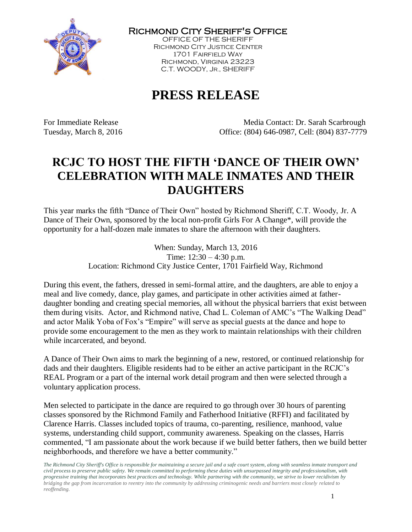

Richmond City Sheriff's Office

OFFICE OF THE SHERIFF Richmond City Justice Center 1701 Fairfield Way Richmond, Virginia 23223 C.T. WOODY, JR., SHERIFF

# **PRESS RELEASE**

For Immediate Release The Media Contact: Dr. Sarah Scarbrough Tuesday, March 8, 2016 Office: (804) 646-0987, Cell: (804) 837-7779

## **RCJC TO HOST THE FIFTH 'DANCE OF THEIR OWN' CELEBRATION WITH MALE INMATES AND THEIR DAUGHTERS**

This year marks the fifth "Dance of Their Own" hosted by Richmond Sheriff, C.T. Woody, Jr. A Dance of Their Own, sponsored by the local non-profit Girls For A Change\*, will provide the opportunity for a half-dozen male inmates to share the afternoon with their daughters.

> When: Sunday, March 13, 2016 Time: 12:30 – 4:30 p.m. Location: Richmond City Justice Center, 1701 Fairfield Way, Richmond

During this event, the fathers, dressed in semi-formal attire, and the daughters, are able to enjoy a meal and live comedy, dance, play games, and participate in other activities aimed at fatherdaughter bonding and creating special memories, all without the physical barriers that exist between them during visits. Actor, and Richmond native, Chad L. Coleman of AMC's "The Walking Dead" and actor Malik Yoba of Fox's "Empire" will serve as special guests at the dance and hope to provide some encouragement to the men as they work to maintain relationships with their children while incarcerated, and beyond.

A Dance of Their Own aims to mark the beginning of a new, restored, or continued relationship for dads and their daughters. Eligible residents had to be either an active participant in the RCJC's REAL Program or a part of the internal work detail program and then were selected through a voluntary application process.

Men selected to participate in the dance are required to go through over 30 hours of parenting classes sponsored by the Richmond Family and Fatherhood Initiative (RFFI) and facilitated by Clarence Harris. Classes included topics of trauma, co-parenting, resilience, manhood, value systems, understanding child support, community awareness. Speaking on the classes, Harris commented, "I am passionate about the work because if we build better fathers, then we build better neighborhoods, and therefore we have a better community."

*The Richmond City Sheriff's Office is responsible for maintaining a secure jail and a safe court system, along with seamless inmate transport and civil process to preserve public safety. We remain committed to performing these duties with unsurpassed integrity and professionalism, with progressive training that incorporates best practices and technology. While partnering with the community, we strive to lower recidivism by bridging the gap from incarceration to reentry into the community by addressing criminogenic needs and barriers most closely related to reoffending.*